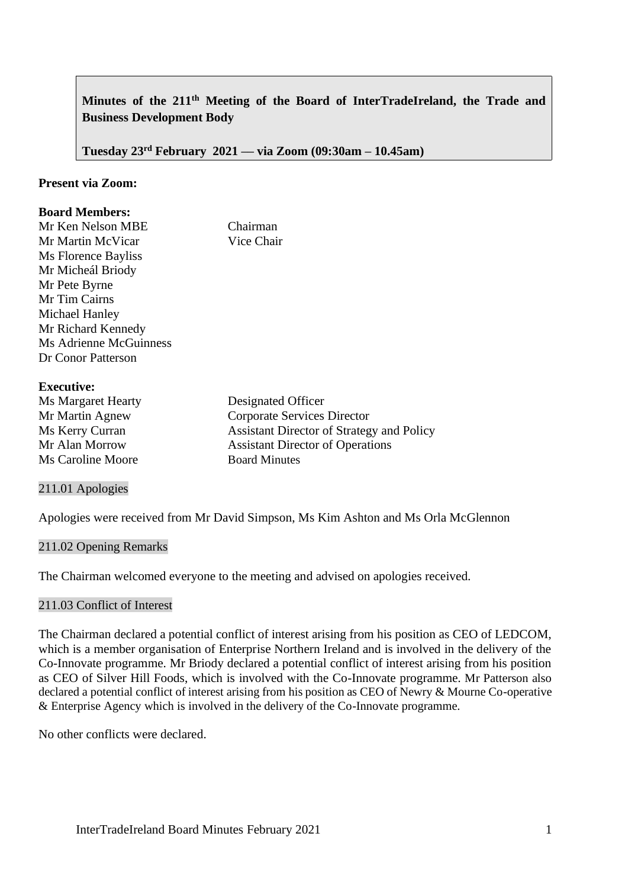# **Minutes of the 211th Meeting of the Board of InterTradeIreland, the Trade and Business Development Body**

**Tuesday 23rd February 2021 –– via Zoom (09:30am – 10.45am)**

#### **Present via Zoom:**

## **Board Members:**

| Mr Ken Nelson MBE      | Chairman   |
|------------------------|------------|
| Mr Martin McVicar      | Vice Chair |
| Ms Florence Bayliss    |            |
| Mr Micheál Briody      |            |
| Mr Pete Byrne          |            |
| Mr Tim Cairns          |            |
| Michael Hanley         |            |
| Mr Richard Kennedy     |            |
| Ms Adrienne McGuinness |            |
| Dr Conor Patterson     |            |
|                        |            |

## **Executive:**

| LAUUUIV.                  |                                           |
|---------------------------|-------------------------------------------|
| <b>Ms Margaret Hearty</b> | Designated Officer                        |
| Mr Martin Agnew           | Corporate Services Director               |
| Ms Kerry Curran           | Assistant Director of Strategy and Policy |
| Mr Alan Morrow            | <b>Assistant Director of Operations</b>   |
| Ms Caroline Moore         | <b>Board Minutes</b>                      |

## 211.01 Apologies

Apologies were received from Mr David Simpson, Ms Kim Ashton and Ms Orla McGlennon

#### 211.02 Opening Remarks

The Chairman welcomed everyone to the meeting and advised on apologies received.

## 211.03 Conflict of Interest

The Chairman declared a potential conflict of interest arising from his position as CEO of LEDCOM, which is a member organisation of Enterprise Northern Ireland and is involved in the delivery of the Co-Innovate programme. Mr Briody declared a potential conflict of interest arising from his position as CEO of Silver Hill Foods, which is involved with the Co-Innovate programme. Mr Patterson also declared a potential conflict of interest arising from his position as CEO of Newry & Mourne Co-operative & Enterprise Agency which is involved in the delivery of the Co-Innovate programme.

No other conflicts were declared.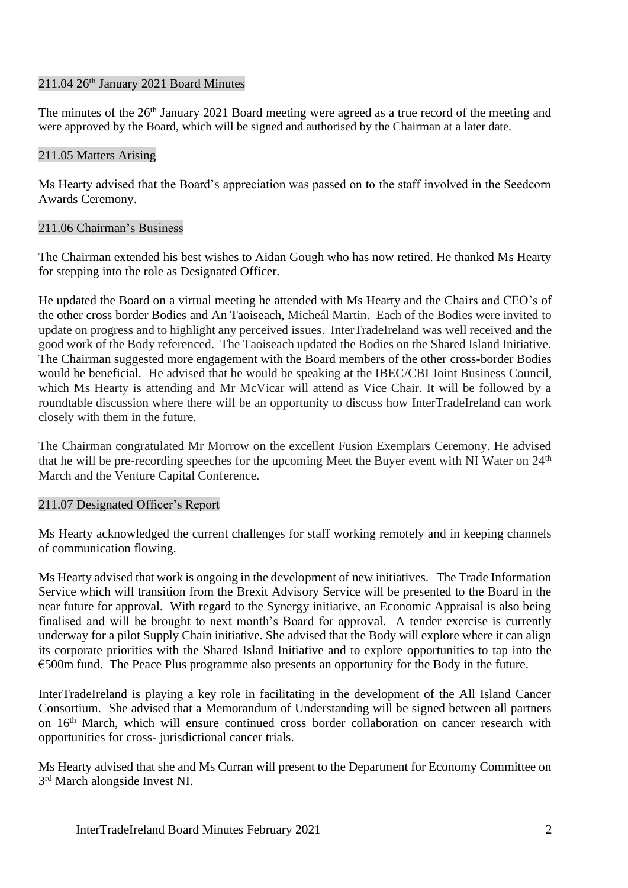## $211.04$   $26<sup>th</sup>$  January 2021 Board Minutes

The minutes of the 26<sup>th</sup> January 2021 Board meeting were agreed as a true record of the meeting and were approved by the Board, which will be signed and authorised by the Chairman at a later date.

## 211.05 Matters Arising

Ms Hearty advised that the Board's appreciation was passed on to the staff involved in the Seedcorn Awards Ceremony.

## 211.06 Chairman's Business

The Chairman extended his best wishes to Aidan Gough who has now retired. He thanked Ms Hearty for stepping into the role as Designated Officer.

He updated the Board on a virtual meeting he attended with Ms Hearty and the Chairs and CEO's of the other cross border Bodies and An Taoiseach, Micheál Martin. Each of the Bodies were invited to update on progress and to highlight any perceived issues. InterTradeIreland was well received and the good work of the Body referenced. The Taoiseach updated the Bodies on the Shared Island Initiative. The Chairman suggested more engagement with the Board members of the other cross-border Bodies would be beneficial. He advised that he would be speaking at the IBEC/CBI Joint Business Council, which Ms Hearty is attending and Mr McVicar will attend as Vice Chair. It will be followed by a roundtable discussion where there will be an opportunity to discuss how InterTradeIreland can work closely with them in the future.

The Chairman congratulated Mr Morrow on the excellent Fusion Exemplars Ceremony. He advised that he will be pre-recording speeches for the upcoming Meet the Buyer event with NI Water on 24<sup>th</sup> March and the Venture Capital Conference.

## 211.07 Designated Officer's Report

Ms Hearty acknowledged the current challenges for staff working remotely and in keeping channels of communication flowing.

Ms Hearty advised that work is ongoing in the development of new initiatives. The Trade Information Service which will transition from the Brexit Advisory Service will be presented to the Board in the near future for approval. With regard to the Synergy initiative, an Economic Appraisal is also being finalised and will be brought to next month's Board for approval. A tender exercise is currently underway for a pilot Supply Chain initiative. She advised that the Body will explore where it can align its corporate priorities with the Shared Island Initiative and to explore opportunities to tap into the €500m fund. The Peace Plus programme also presents an opportunity for the Body in the future.

InterTradeIreland is playing a key role in facilitating in the development of the All Island Cancer Consortium. She advised that a Memorandum of Understanding will be signed between all partners on 16<sup>th</sup> March, which will ensure continued cross border collaboration on cancer research with opportunities for cross- jurisdictional cancer trials.

Ms Hearty advised that she and Ms Curran will present to the Department for Economy Committee on 3<sup>rd</sup> March alongside Invest NI.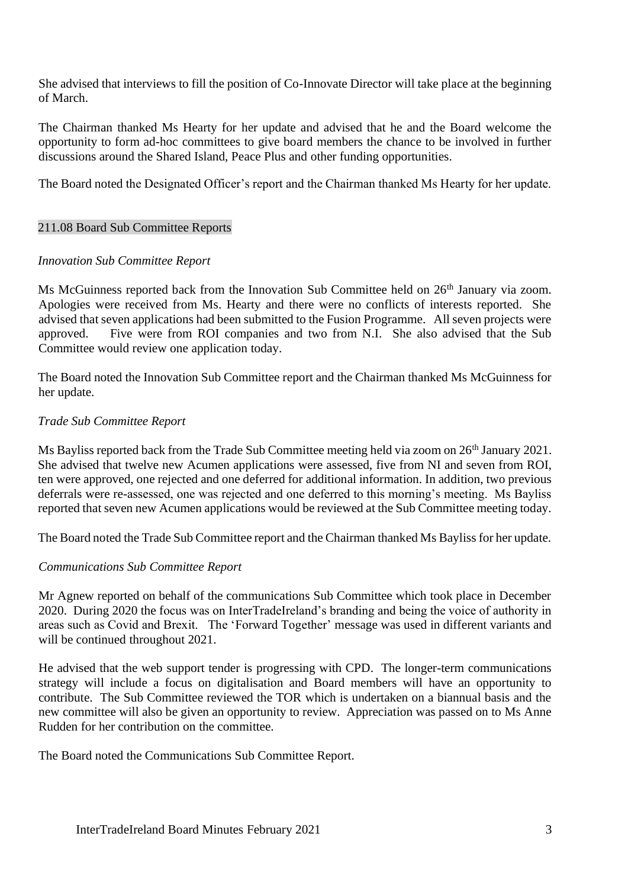She advised that interviews to fill the position of Co-Innovate Director will take place at the beginning of March.

The Chairman thanked Ms Hearty for her update and advised that he and the Board welcome the opportunity to form ad-hoc committees to give board members the chance to be involved in further discussions around the Shared Island, Peace Plus and other funding opportunities.

The Board noted the Designated Officer's report and the Chairman thanked Ms Hearty for her update.

#### 211.08 Board Sub Committee Reports

#### *Innovation Sub Committee Report*

Ms McGuinness reported back from the Innovation Sub Committee held on  $26<sup>th</sup>$  January via zoom. Apologies were received from Ms. Hearty and there were no conflicts of interests reported. She advised that seven applications had been submitted to the Fusion Programme. All seven projects were approved. Five were from ROI companies and two from N.I. She also advised that the Sub Committee would review one application today.

The Board noted the Innovation Sub Committee report and the Chairman thanked Ms McGuinness for her update.

## *Trade Sub Committee Report*

Ms Bayliss reported back from the Trade Sub Committee meeting held via zoom on 26<sup>th</sup> January 2021. She advised that twelve new Acumen applications were assessed, five from NI and seven from ROI, ten were approved, one rejected and one deferred for additional information. In addition, two previous deferrals were re-assessed, one was rejected and one deferred to this morning's meeting. Ms Bayliss reported that seven new Acumen applications would be reviewed at the Sub Committee meeting today.

The Board noted the Trade Sub Committee report and the Chairman thanked Ms Bayliss for her update.

#### *Communications Sub Committee Report*

Mr Agnew reported on behalf of the communications Sub Committee which took place in December 2020. During 2020 the focus was on InterTradeIreland's branding and being the voice of authority in areas such as Covid and Brexit. The 'Forward Together' message was used in different variants and will be continued throughout 2021.

He advised that the web support tender is progressing with CPD. The longer-term communications strategy will include a focus on digitalisation and Board members will have an opportunity to contribute. The Sub Committee reviewed the TOR which is undertaken on a biannual basis and the new committee will also be given an opportunity to review. Appreciation was passed on to Ms Anne Rudden for her contribution on the committee.

The Board noted the Communications Sub Committee Report.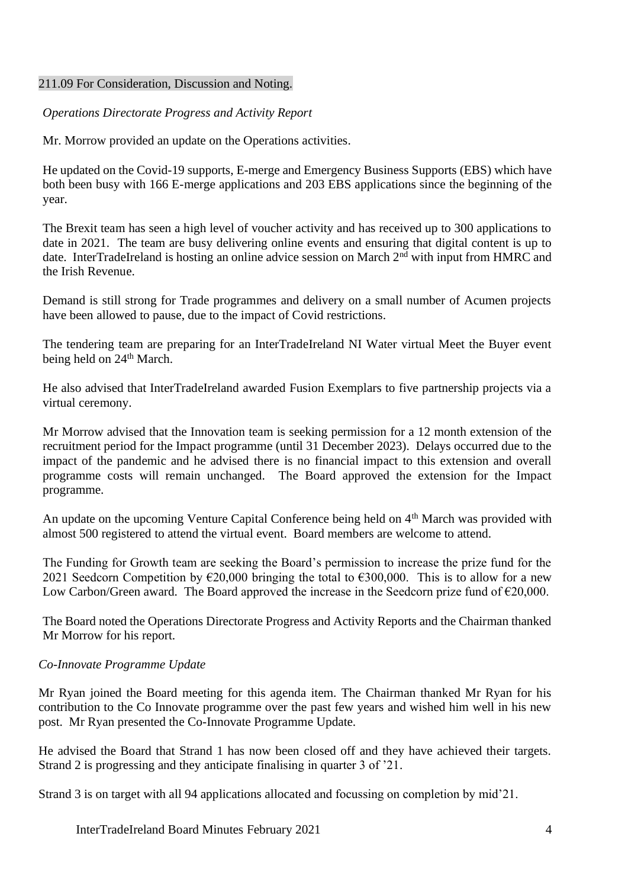#### 211.09 For Consideration, Discussion and Noting.

*Operations Directorate Progress and Activity Report*

Mr. Morrow provided an update on the Operations activities.

He updated on the Covid-19 supports, E-merge and Emergency Business Supports (EBS) which have both been busy with 166 E-merge applications and 203 EBS applications since the beginning of the year.

The Brexit team has seen a high level of voucher activity and has received up to 300 applications to date in 2021. The team are busy delivering online events and ensuring that digital content is up to date. InterTradeIreland is hosting an online advice session on March 2<sup>nd</sup> with input from HMRC and the Irish Revenue.

Demand is still strong for Trade programmes and delivery on a small number of Acumen projects have been allowed to pause, due to the impact of Covid restrictions.

The tendering team are preparing for an InterTradeIreland NI Water virtual Meet the Buyer event being held on 24<sup>th</sup> March.

He also advised that InterTradeIreland awarded Fusion Exemplars to five partnership projects via a virtual ceremony.

Mr Morrow advised that the Innovation team is seeking permission for a 12 month extension of the recruitment period for the Impact programme (until 31 December 2023). Delays occurred due to the impact of the pandemic and he advised there is no financial impact to this extension and overall programme costs will remain unchanged. The Board approved the extension for the Impact programme.

An update on the upcoming Venture Capital Conference being held on 4<sup>th</sup> March was provided with almost 500 registered to attend the virtual event. Board members are welcome to attend.

The Funding for Growth team are seeking the Board's permission to increase the prize fund for the 2021 Seedcorn Competition by  $\epsilon$ 20,000 bringing the total to  $\epsilon$ 300,000. This is to allow for a new Low Carbon/Green award. The Board approved the increase in the Seedcorn prize fund of  $\epsilon$ 20,000.

The Board noted the Operations Directorate Progress and Activity Reports and the Chairman thanked Mr Morrow for his report.

## *Co-Innovate Programme Update*

Mr Ryan joined the Board meeting for this agenda item. The Chairman thanked Mr Ryan for his contribution to the Co Innovate programme over the past few years and wished him well in his new post. Mr Ryan presented the Co-Innovate Programme Update.

He advised the Board that Strand 1 has now been closed off and they have achieved their targets. Strand 2 is progressing and they anticipate finalising in quarter 3 of '21.

Strand 3 is on target with all 94 applications allocated and focussing on completion by mid'21.

InterTradeIreland Board Minutes February 2021 4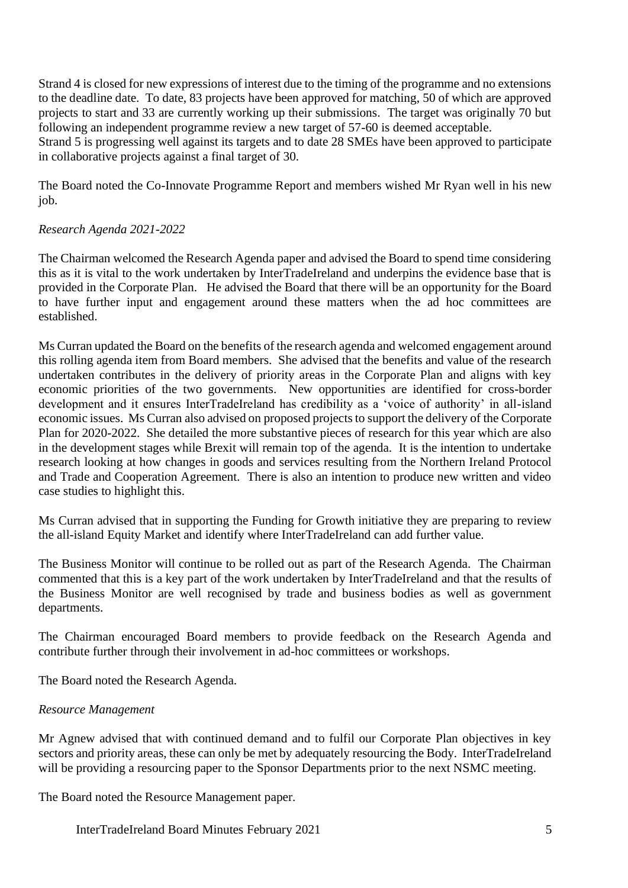Strand 4 is closed for new expressions of interest due to the timing of the programme and no extensions to the deadline date. To date, 83 projects have been approved for matching, 50 of which are approved projects to start and 33 are currently working up their submissions. The target was originally 70 but following an independent programme review a new target of 57-60 is deemed acceptable. Strand 5 is progressing well against its targets and to date 28 SMEs have been approved to participate

in collaborative projects against a final target of 30.

The Board noted the Co-Innovate Programme Report and members wished Mr Ryan well in his new job.

## *Research Agenda 2021-2022*

The Chairman welcomed the Research Agenda paper and advised the Board to spend time considering this as it is vital to the work undertaken by InterTradeIreland and underpins the evidence base that is provided in the Corporate Plan. He advised the Board that there will be an opportunity for the Board to have further input and engagement around these matters when the ad hoc committees are established.

Ms Curran updated the Board on the benefits of the research agenda and welcomed engagement around this rolling agenda item from Board members. She advised that the benefits and value of the research undertaken contributes in the delivery of priority areas in the Corporate Plan and aligns with key economic priorities of the two governments. New opportunities are identified for cross-border development and it ensures InterTradeIreland has credibility as a 'voice of authority' in all-island economic issues. Ms Curran also advised on proposed projects to support the delivery of the Corporate Plan for 2020-2022. She detailed the more substantive pieces of research for this year which are also in the development stages while Brexit will remain top of the agenda. It is the intention to undertake research looking at how changes in goods and services resulting from the Northern Ireland Protocol and Trade and Cooperation Agreement. There is also an intention to produce new written and video case studies to highlight this.

Ms Curran advised that in supporting the Funding for Growth initiative they are preparing to review the all-island Equity Market and identify where InterTradeIreland can add further value.

The Business Monitor will continue to be rolled out as part of the Research Agenda. The Chairman commented that this is a key part of the work undertaken by InterTradeIreland and that the results of the Business Monitor are well recognised by trade and business bodies as well as government departments.

The Chairman encouraged Board members to provide feedback on the Research Agenda and contribute further through their involvement in ad-hoc committees or workshops.

The Board noted the Research Agenda.

#### *Resource Management*

Mr Agnew advised that with continued demand and to fulfil our Corporate Plan objectives in key sectors and priority areas, these can only be met by adequately resourcing the Body. InterTradeIreland will be providing a resourcing paper to the Sponsor Departments prior to the next NSMC meeting.

The Board noted the Resource Management paper.

InterTradeIreland Board Minutes February 2021 5